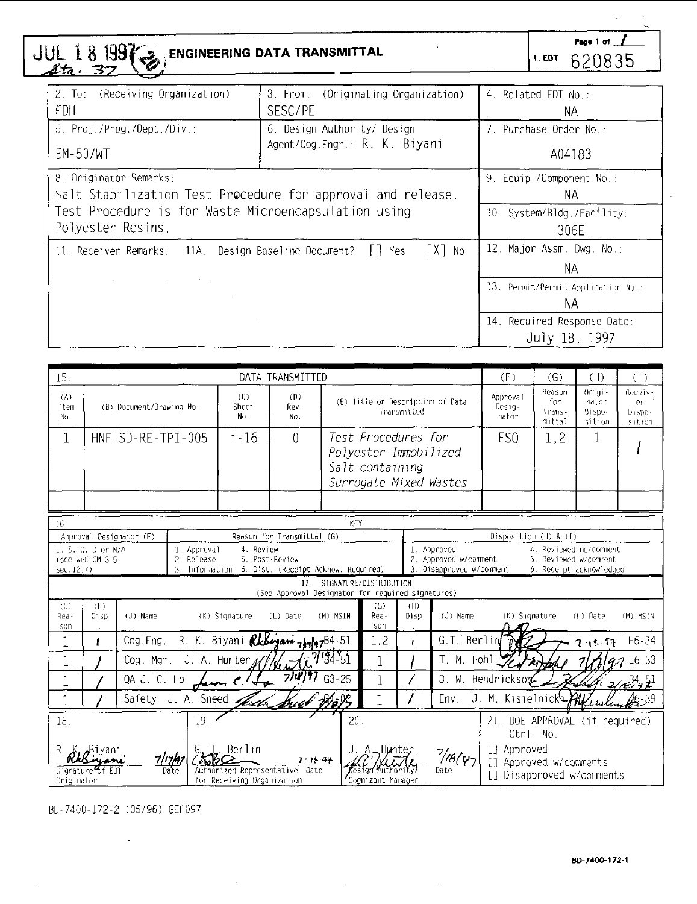JUL 18 **199<sup>7</sup> BIOGREERING DATA TRANSMITTAL** 

Page 1 of 1 1.607 620835

| 2. To:<br>(Receiving Organization)<br>FDH                                                                                                              | 3. From: (Originating Organization)<br>SESC/PE                                                                              | 4. Related EDT No.:<br>NА |
|--------------------------------------------------------------------------------------------------------------------------------------------------------|-----------------------------------------------------------------------------------------------------------------------------|---------------------------|
| 5. Proj./Prog./Dept./Div.:                                                                                                                             | 6. Design Authority/ Design                                                                                                 | 7. Purchase Order No.:    |
| EM-50/WT                                                                                                                                               | Agent/Cog.Engr.: R. K. Biyani                                                                                               | A04183                    |
| 8. Originator Remarks:                                                                                                                                 | 9. Equip./Component No.:                                                                                                    |                           |
| Salt Stabilization Test Procedure for approval and release.                                                                                            | NА                                                                                                                          |                           |
| Test Procedure is for Waste Microencapsulation using                                                                                                   | 10. System/Bldg./Facility:                                                                                                  |                           |
| Polyester Resins.                                                                                                                                      | 306E                                                                                                                        |                           |
| 11. Receiver Remarks: 11A. Design Baseline Document? [1] Yes<br>the process of the control of the control of<br>and the company<br>the contract of the | 12. Major Assm. Dwg. No.:<br>NА<br>13. Permit/Permit Application No.:<br>NА<br>14. Required Response Date:<br>July 18, 1997 |                           |

| 15.                | DATA TRANSMITTED                                                                                                                                                                                                                                                               |                         |                                          |                                                                 |                                                                      |           |                                          | (F)                               | (G)                                                               | (H)                                   | (1)                   |                                                    |              |
|--------------------|--------------------------------------------------------------------------------------------------------------------------------------------------------------------------------------------------------------------------------------------------------------------------------|-------------------------|------------------------------------------|-----------------------------------------------------------------|----------------------------------------------------------------------|-----------|------------------------------------------|-----------------------------------|-------------------------------------------------------------------|---------------------------------------|-----------------------|----------------------------------------------------|--------------|
| (A)<br>Ttem<br>No. | (C)<br>(D)<br>(B) Document/Drawing No.<br>Rev.<br>Sheet<br>No.<br>No.                                                                                                                                                                                                          |                         |                                          |                                                                 | (E) litle or Description of Data<br>Transmitted                      |           | Approval<br>Desig-<br>nator              | Reason<br>for<br>trans-<br>mittal | Origi-<br>nator<br>Dispo-<br>sition                               | Receiv-<br>er.<br>Dispo-<br>sition    |                       |                                                    |              |
| 1                  |                                                                                                                                                                                                                                                                                | HNF-SD-RF-TPT-005       |                                          | $1 - 16$                                                        | 0                                                                    |           | Test Procedures for                      |                                   |                                                                   | ES <sub>0</sub>                       | 1.2                   |                                                    |              |
|                    |                                                                                                                                                                                                                                                                                |                         |                                          |                                                                 |                                                                      |           | Polyester-Immobilized<br>Salt-containing |                                   |                                                                   |                                       |                       |                                                    |              |
|                    |                                                                                                                                                                                                                                                                                |                         |                                          |                                                                 |                                                                      |           | Surrogate Mixed Wastes                   |                                   |                                                                   |                                       |                       |                                                    |              |
|                    |                                                                                                                                                                                                                                                                                |                         |                                          |                                                                 |                                                                      |           |                                          |                                   |                                                                   |                                       |                       |                                                    |              |
| 16                 |                                                                                                                                                                                                                                                                                |                         |                                          |                                                                 |                                                                      | KEY       |                                          |                                   |                                                                   |                                       |                       |                                                    |              |
|                    |                                                                                                                                                                                                                                                                                | Approval Designator (F) |                                          |                                                                 | Reason for Transmittal (G)                                           |           |                                          |                                   |                                                                   | Disposition (H) & (I)                 |                       |                                                    |              |
| Sec. 12.7)         | F. S. D. D.or N/A<br>(see WHC-CM-3-5.                                                                                                                                                                                                                                          |                         | 1. Approval<br>$\overline{a}$<br>Release | 4. Review<br>3. Information 6. Dist. (Receipt Acknow, Required) | 5. Post-Review                                                       |           |                                          |                                   | 1. Approved<br>2. Approved w/comment.<br>3. Disapproved w/comment |                                       | 5. Reviewed w/comment | 4. Reviewed no/comment.<br>6. Receipt acknowledged |              |
|                    |                                                                                                                                                                                                                                                                                |                         |                                          |                                                                 | 17 <sub>1</sub><br>(See Approval Designator for required signatures) |           | SIGNATURE/DISTRIBUTION                   |                                   |                                                                   |                                       |                       |                                                    |              |
| (G)<br>Rea-<br>son | (H)<br>Disp                                                                                                                                                                                                                                                                    | (J) Name                |                                          | (K) Signature                                                   | (L) Date                                                             | (M) MSIN  | (G)<br>Rea-<br>son                       | (H)<br>Disp                       | (J) Name                                                          | (K) Signature<br>(L) Date<br>(M) MSIN |                       |                                                    |              |
|                    | ı                                                                                                                                                                                                                                                                              | Cog. Eng.               |                                          | R. K. Biyani <i>RkBiyani</i> 747/47 <sup>84-51</sup>            |                                                                      |           | 1.2                                      | $\mathbf{r}$                      | G.T. Berlin                                                       | $H6 - 34$<br>વ તદ-ઉ૧                  |                       |                                                    |              |
| 1                  |                                                                                                                                                                                                                                                                                | Cog. Mgr.               |                                          | J. A. Hunter $\Lambda$                                          |                                                                      | 7/84-51   |                                          |                                   | T. M. Hohl                                                        | $47$ L6-33                            |                       |                                                    |              |
|                    |                                                                                                                                                                                                                                                                                | QA J. C. Lo             |                                          |                                                                 | 7/4                                                                  | $G3 - 25$ |                                          |                                   |                                                                   | D. W. Hendrickson                     |                       |                                                    | $2(e^{B4}9)$ |
|                    | Safety J. A. Sneed<br>Env.                                                                                                                                                                                                                                                     |                         |                                          |                                                                 |                                                                      |           |                                          | J. M. Kisielnick                  |                                                                   |                                       |                       |                                                    |              |
| 18.                | 19.<br>20.<br>21. DOE APPROVAL (if required)<br>Ctrl. No.                                                                                                                                                                                                                      |                         |                                          |                                                                 |                                                                      |           |                                          |                                   |                                                                   |                                       |                       |                                                    |              |
|                    | Berlin<br>[] Approved<br>J. A_Hunter<br>$\frac{7}{86}$<br>$1 - 15 - 9 +$<br>[] Approved w/comments<br>Date<br>Authorized Representative Date<br>Signature of FD<br>Design Authority<br>Disapproved w/comments<br>for Receiving Organization<br>Cognizant Manager<br>Originator |                         |                                          |                                                                 |                                                                      |           |                                          |                                   |                                                                   |                                       |                       |                                                    |              |

BD-7400-172-2 (05/96) GEF097  $\mathcal{L}$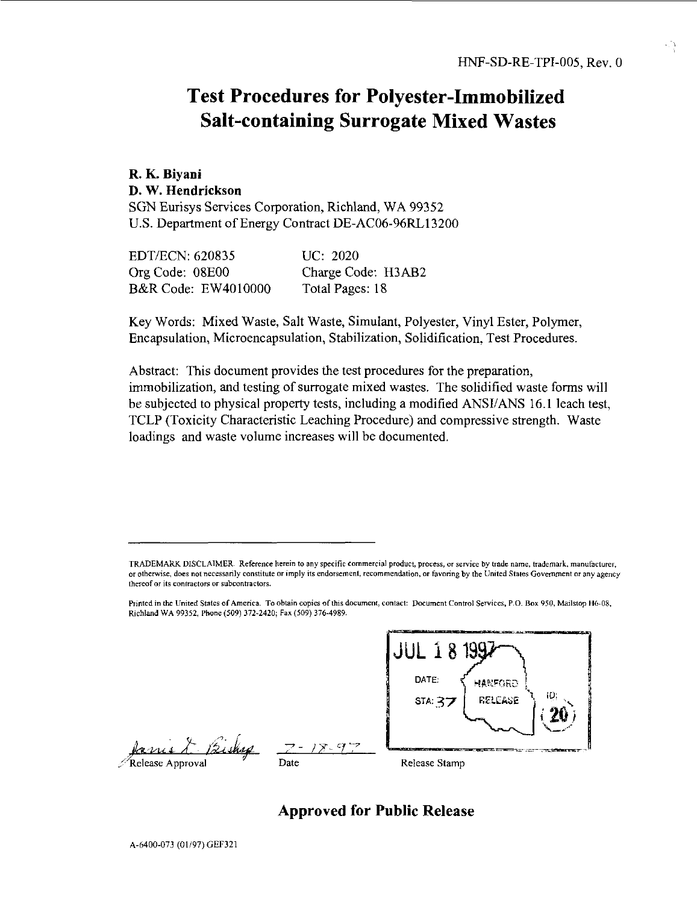# Test Procedures for Polyester-Immobilized Salt-containing Surrogate Mixed Wastes

# **R. K. Biyani D. W. Hendrickson**

SGN Eurisys Services Corporation, Richland, WA 99352 U.S. Department of Energy Contract DE-AC06-96RL13200

| EDT/ECN: 620835                | UC: 2020           |
|--------------------------------|--------------------|
| Org Code: 08E00                | Charge Code: H3AB2 |
| <b>B&amp;R Code: EW4010000</b> | Total Pages: 18    |

Key Words: Mixed Waste, Salt Waste, Simulant, Polyester, Vinyl Ester, Polymer, Encapsulation, Microencapsulation, Stabilization, Solidification, Test Procedures.

Abstract: This document provides the test procedures for the preparation, immobilization, and testing of surrogate mixed wastes. The solidified waste forms will be subjected to physical property tests, including a modified ANSI/ANS 16.1 leach test, TCLP (Toxicity Characteristic Leaching Procedure) and compressive strength. Waste loadings and waste volume increases will be documented.

*.-l^u.i. A -* Release Approval

**' - / 7- 7'** Date



Release Stamp

## **Approved for Public Release**

TRADEMARK DISCLAIMER. Reference herein to any specific commercial product, process, or service by trade name, trademark, manufacturer, or otherwise, does not necessarily constitute or imply its endorsement, recommendation, or favoring by the United States Government or any agency thereof or its contractors or subcontractors.

Printed in the United States of America. To obtain copies of this document, contact: Document Control Services. P.O. Box 950, Mailstop H6-08, Richland WA 99352, Phone (509) 372-2420; Fax (509) 376-4989.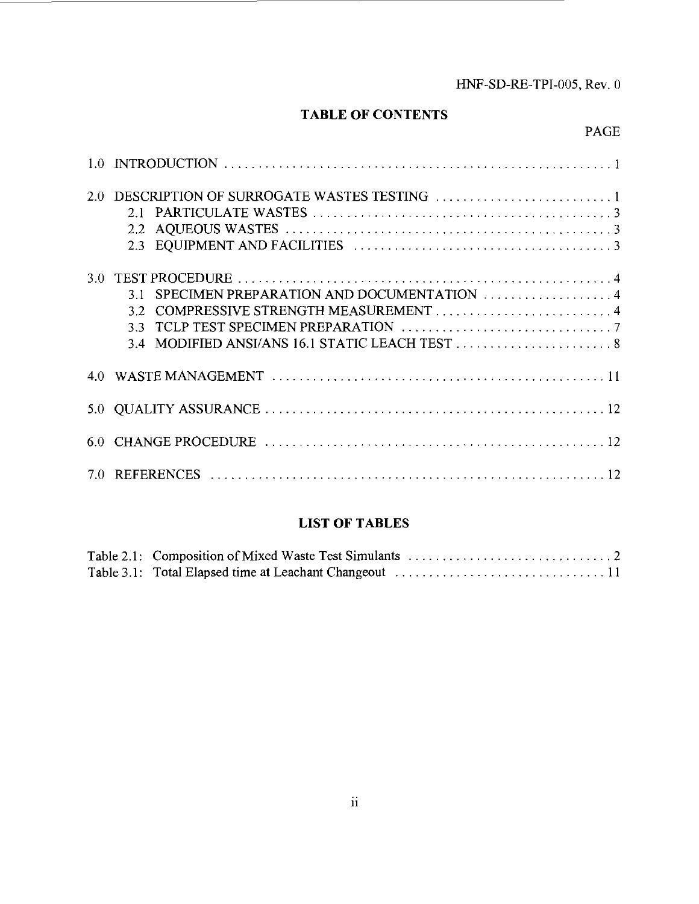## HNF-SD-RE-TPI-005, Rev. 0

## **TABLE OF CONTENTS**

## PAGE

| 20  |           |
|-----|-----------|
| 3.0 | 31<br>3.3 |
|     |           |
|     |           |
|     |           |
| 7.0 |           |

## **LIST OF TABLES**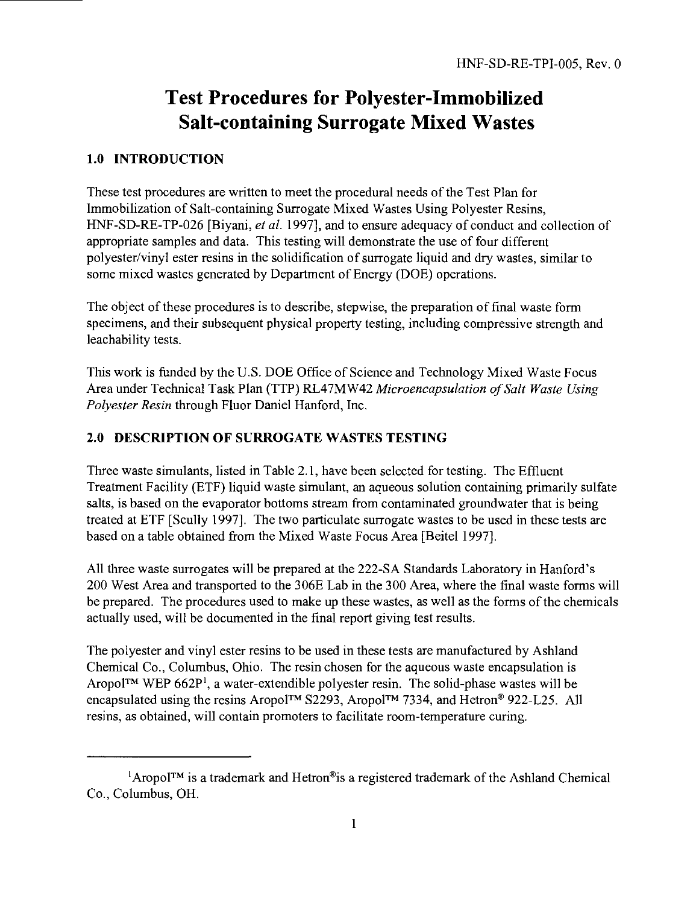# Test Procedures for Polyester-Immobilized Salt-containing Surrogate Mixed Wastes

#### **1.0 INTRODUCTION**

These test procedures are written to meet the procedural needs of the Test Plan for Immobilization of Salt-containing Surrogate Mixed Wastes Using Polyester Resins, HNF-SD-RE-TP-026 [Biyani, *et al.* 1997], and to ensure adequacy of conduct and collection of appropriate samples and data. This testing will demonstrate the use of four different polyester/vinyl ester resins in the solidification of surrogate liquid and dry wastes, similar to some mixed wastes generated by Department of Energy (DOE) operations.

The object of these procedures is to describe, stepwise, the preparation of final waste form specimens, and their subsequent physical property testing, including compressive strength and leachability tests.

This work is funded by the U.S. DOE Office of Science and Technology Mixed Waste Focus Area under Technical Task Plan (TTP) RL47MW42 *Microencapsulation of Salt Waste Using Polyester Resin* through Fluor Daniel Hanford, Inc.

## **2.0 DESCRIPTION OF SURROGATE WASTES TESTING**

Three waste simulants, listed in Table 2.1, have been selected for testing. The Effluent Treatment Facility (ETF) liquid waste simulant, an aqueous solution containing primarily sulfate salts, is based on the evaporator bottoms stream from contaminated groundwater that is being treated at ETF [Scully 1997]. The two particulate surrogate wastes to be used in these tests are based on a table obtained from the Mixed Waste Focus Area [Beitel 1997].

All three waste surrogates will be prepared at the 222-SA Standards Laboratory in Hanford's 200 West Area and transported to the 306E Lab in the 300 Area, where the final waste forms will be prepared. The procedures used to make up these wastes, as well as the forms of the chemicals actually used, will be documented in the final report giving test results.

The polyester and vinyl ester resins to be used in these tests are manufactured by Ashland Chemical Co., Columbus, Ohio. The resin chosen for the aqueous waste encapsulation is Aropol™ WEP 662P<sup>1</sup>, a water-extendible polyester resin. The solid-phase wastes will be encapsulated using the resins Aropol™ S2293, Aropol™ 7334, and Hetron® 922-L25. All resins, as obtained, will contain promoters to facilitate room-temperature curing.

<sup>&#</sup>x27;Aropol™ is a trademark and Hetron®is a registered trademark of the Ashland Chemical Co., Columbus, OH.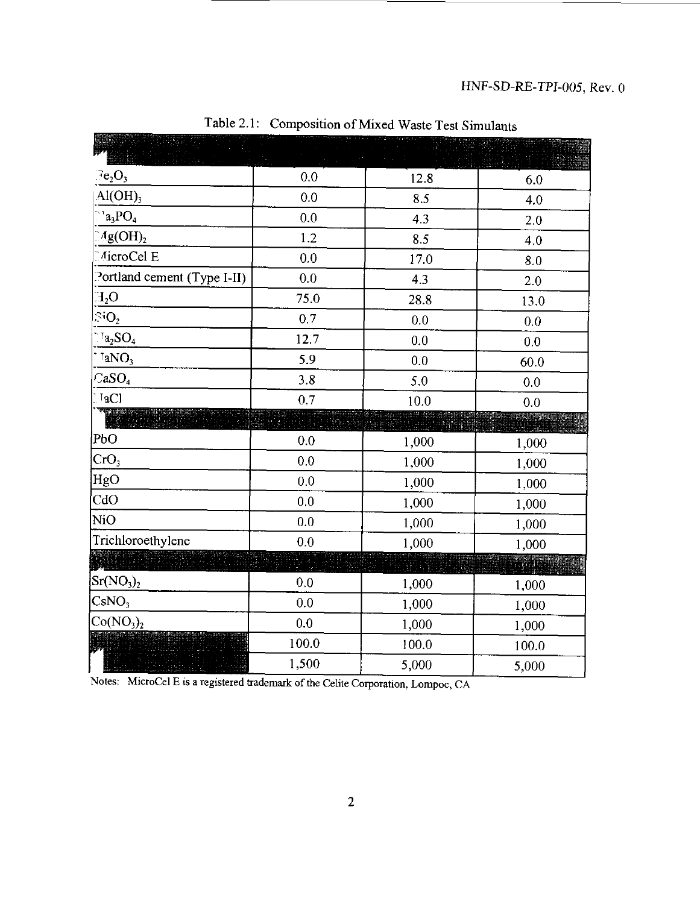| Fe <sub>2</sub> O <sub>3</sub>                                                  | 0.0   | 12.8  | 6.0   |
|---------------------------------------------------------------------------------|-------|-------|-------|
| $AI(OH)_{3}$                                                                    | 0.0   | 8.5   | 4.0   |
| $a_3PO_4$                                                                       | 0.0   | 4.3   | 2.0   |
| Ag(OH),                                                                         | 1.2   | 8.5   | 4.0   |
| AicroCel E                                                                      | 0.0   | 17.0  | 8.0   |
| Portland cement (Type I-II)                                                     | 0.0   | 4.3   | 2.0   |
| $H_2O$                                                                          | 75.0  | 28.8  | 13.0  |
| $\rm SO_{2}$                                                                    | 0.7   | 0.0   | 0.0   |
| $\mathbf{Ia_2SO_4}$                                                             | 12.7  | 0.0   | 0.0   |
| $a_{N_3}$                                                                       | 5.9   | 0.0   | 60.0  |
| $CaSO_{4}$                                                                      | 3.8   | 5.0   | 0.0   |
| $I_2Cl$                                                                         | 0.7   | 10.0  | 0.0   |
|                                                                                 |       |       |       |
| РЬО                                                                             | 0.0   | 1,000 | 1,000 |
| CrO <sub>3</sub>                                                                | 0.0   | 1,000 | 1,000 |
| HgO                                                                             | 0.0   | 1,000 | 1,000 |
| CdO                                                                             | 0.0   | 1,000 | 1,000 |
| N <sub>i</sub> O                                                                | 0.0   | 1,000 | 1,000 |
| Trichloroethylene                                                               | 0.0   | 1,000 | 1,000 |
|                                                                                 |       |       | segge |
| $\rm{Sr(NO_3)_2}$                                                               | 0.0   | 1,000 | 1,000 |
| $\text{CsNO}_3$                                                                 | 0.0   | 1,000 | 1,000 |
| Co(NO <sub>3</sub> ) <sub>2</sub>                                               | 0.0   | 1,000 | 1,000 |
|                                                                                 | 100.0 | 100.0 | 100.0 |
|                                                                                 | 1,500 | 5,000 | 5,000 |
| Notes: MicroCel E is a registered trademark of the Celite Corporation Lompoc CA |       |       |       |

Table 2.1: Composition of Mixed Waste Test Simulants

Notes: MicroCel E is a registered trademark of the Celite Corporation, Lompoc, CA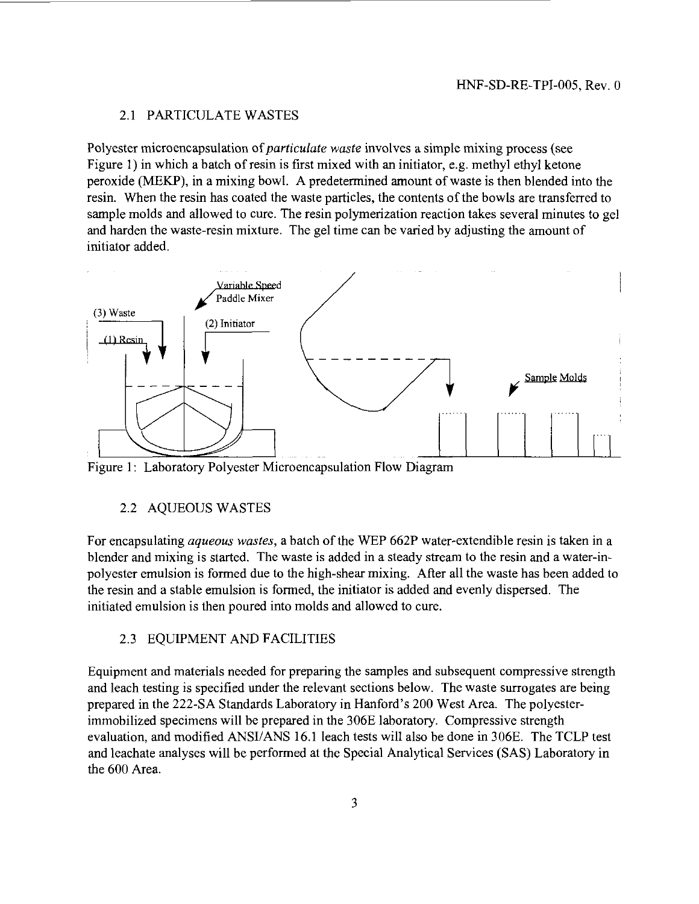#### 2.1 PARTICULATE WASTES

Polyester microencapsulation *of paniculate waste* involves a simple mixing process (see Figure 1) in which a batch of resin is first mixed with an initiator, e.g. methyl ethyl ketone peroxide (MEKP), in a mixing bowl. A predetermined amount of waste is then blended into the resin. When the resin has coated the waste particles, the contents of the bowls are transferred to sample molds and allowed to cure. The resin polymerization reaction takes several minutes to gel and harden the waste-resin mixture. The gel time can be varied by adjusting the amount of initiator added.



Figure 1: Laboratory Polyester Microencapsulation Flow Diagram

#### 2.2 AQUEOUS WASTES

For encapsulating *aqueous wastes,* a batch of the WEP 662P water-extendible resin is taken in a blender and mixing is started. The waste is added in a steady stream to the resin and a water-inpolyester emulsion is formed due to the high-shear mixing. After all the waste has been added to the resin and a stable emulsion is formed, the initiator is added and evenly dispersed. The initiated emulsion is then poured into molds and allowed to cure.

#### 2.3 EQUIPMENT AND FACILITIES

Equipment and materials needed for preparing the samples and subsequent compressive strength and leach testing is specified under the relevant sections below. The waste surrogates are being prepared in the 222-SA Standards Laboratory in Hanford's 200 West Area. The polyesterimmobilized specimens will be prepared in the 306E laboratory. Compressive strength evaluation, and modified ANSI/ANS 16.1 leach tests will also be done in 306E. The TCLP test and leachate analyses will be performed at the Special Analytical Services (SAS) Laboratory in the 600 Area.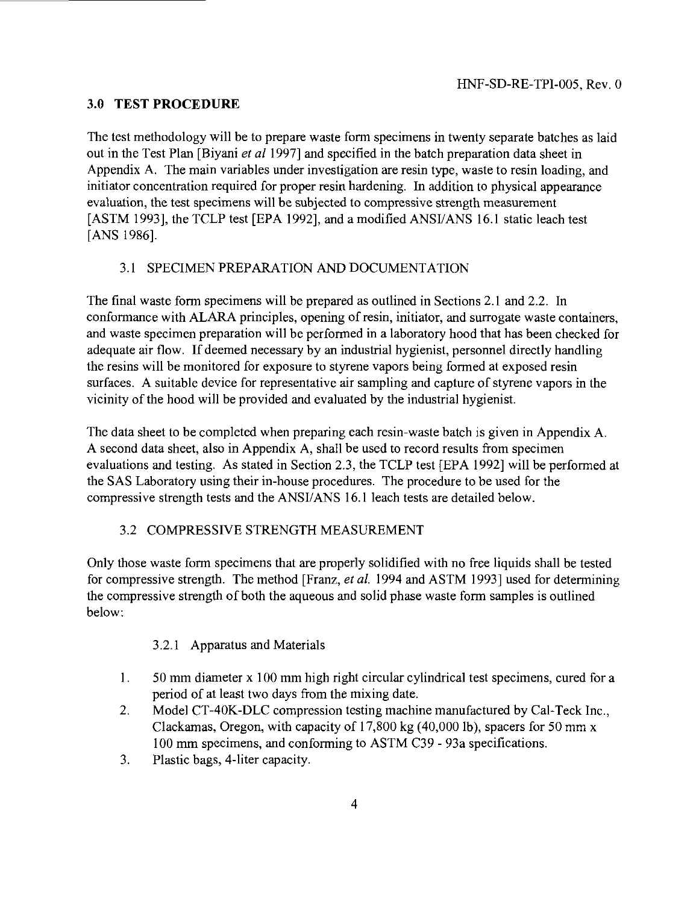#### **3.0 TEST PROCEDURE**

The test methodology will be to prepare waste form specimens in twenty separate batches as laid out in the Test Plan [Biyani *et al* 1997] and specified in the batch preparation data sheet in Appendix A. The main variables under investigation are resin type, waste to resin loading, and initiator concentration required for proper resin hardening. In addition to physical appearance evaluation, the test specimens will be subjected to compressive strength measurement [ASTM 1993], the TCLP test [EPA 1992], and a modified ANSI/ANS 16.1 static leach test [ANS 1986].

#### 3.1 SPECIMEN PREPARATION AND DOCUMENTATION

The final waste form specimens will be prepared as outlined in Sections 2.1 and 2.2. In conformance with ALARA principles, opening of resin, initiator, and surrogate waste containers, and waste specimen preparation will be performed in a laboratory hood that has been checked for adequate air flow. If deemed necessary by an industrial hygienist, personnel directly handling the resins will be monitored for exposure to styrene vapors being formed at exposed resin surfaces. A suitable device for representative air sampling and capture of styrene vapors in the vicinity of the hood will be provided and evaluated by the industrial hygienist.

The data sheet to be completed when preparing each resin-waste batch is given in Appendix A. A second data sheet, also in Appendix A, shall be used to record results from specimen evaluations and testing. As stated in Section 2.3, the TCLP test [EPA 1992] will be performed at the SAS Laboratory using their in-house procedures. The procedure to be used for the compressive strength tests and the ANSI/ANS 16.1 leach tests are detailed below.

#### 3.2 COMPRESSIVE STRENGTH MEASUREMENT

Only those waste form specimens that are properly solidified with no free liquids shall be tested for compressive strength. The method [Franz, *et al.* 1994 and ASTM 1993] used for determining the compressive strength of both the aqueous and solid phase waste form samples is outlined below:

#### 3.2.1 Apparatus and Materials

- 1. 50 mm diameter x 100 mm high right circular cylindrical test specimens, cured for a period of at least two days from the mixing date.
- 2. Model CT-40K-DLC compression testing machine manufactured by Cal-Teck Inc., Clackamas, Oregon, with capacity of 17,800 kg (40,000 lb), spacers for 50 mm x 100 mm specimens, and conforming to ASTM C39 - 93a specifications.
- 3. Plastic bags, 4-liter capacity.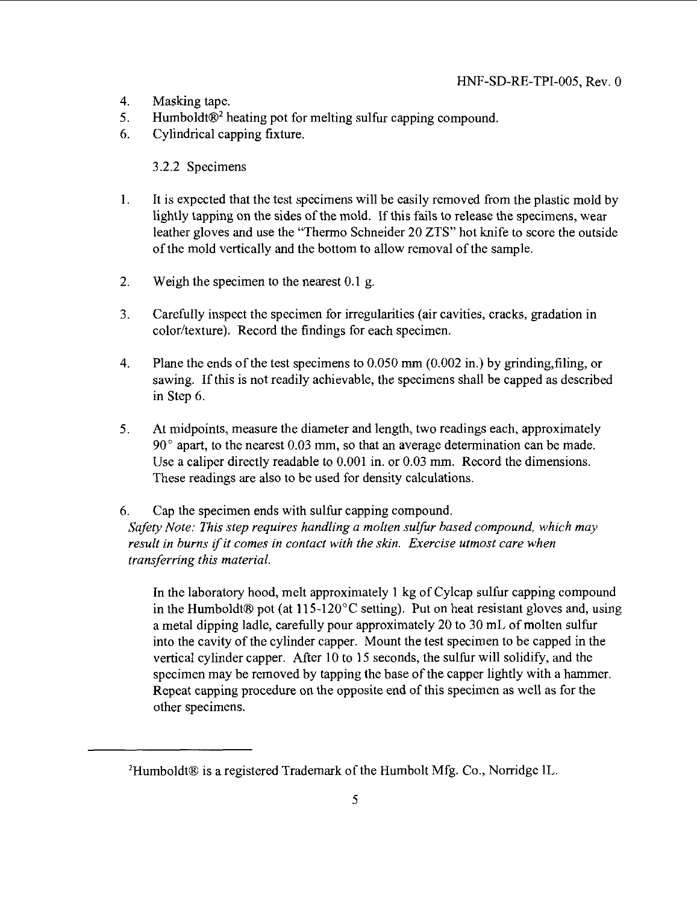- 4. Masking tape.
- 5. Humboldt®<sup>2</sup> heating pot for melting sulfur capping compound.
- 6. Cylindrical capping fixture.

#### 3.2.2 Specimens

- 1. It is expected that the test specimens will be easily removed from the plastic mold by lightly tapping on the sides of the mold. If this fails to release the specimens, wear leather gloves and use the "Thermo Schneider 20 ZTS" hot knife to score the outside of the mold vertically and the bottom to allow removal of the sample.
- 2. Weigh the specimen to the nearest 0.1 g.
- 3. Carefully inspect the specimen for irregularities (air cavities, cracks, gradation in color/texture). Record the findings for each specimen.
- 4. Plane the ends of the test specimens to  $0.050$  mm  $(0.002$  in.) by grinding, filing, or sawing. If this is not readily achievable, the specimens shall be capped as described in Step 6.
- 5. At midpoints, measure the diameter and length, two readings each, approximately 90° apart, to the nearest 0.03 mm, so that an average determination can be made. Use a caliper directly readable to 0.001 in. or 0.03 mm. Record the dimensions. These readings are also to be used for density calculations.

#### 6. Cap the specimen ends with sulfur capping compound. *Safety Note: This step requires handling a molten sulfur based compound, which may result in burns if it comes in contact with the skin. Exercise utmost care when transferring this material.*

In the laboratory hood, melt approximately 1 kg of Cylcap sulfur capping compound in the Humboldt® pot (at  $115-120^{\circ}$ C setting). Put on heat resistant gloves and, using a metal dipping ladle, carefully pour approximately 20 to 30 mL of molten sulfur into the cavity of the cylinder capper. Mount the test specimen to be capped in the vertical cylinder capper. After 10 to 15 seconds, the sulfur will solidify, and the specimen may be removed by tapping the base of the capper lightly with a hammer. Repeat capping procedure on the opposite end of this specimen as well as for the other specimens.

<sup>2</sup>Humboldt® is a registered Trademark of the Humbolt Mfg. Co., Norridge IL.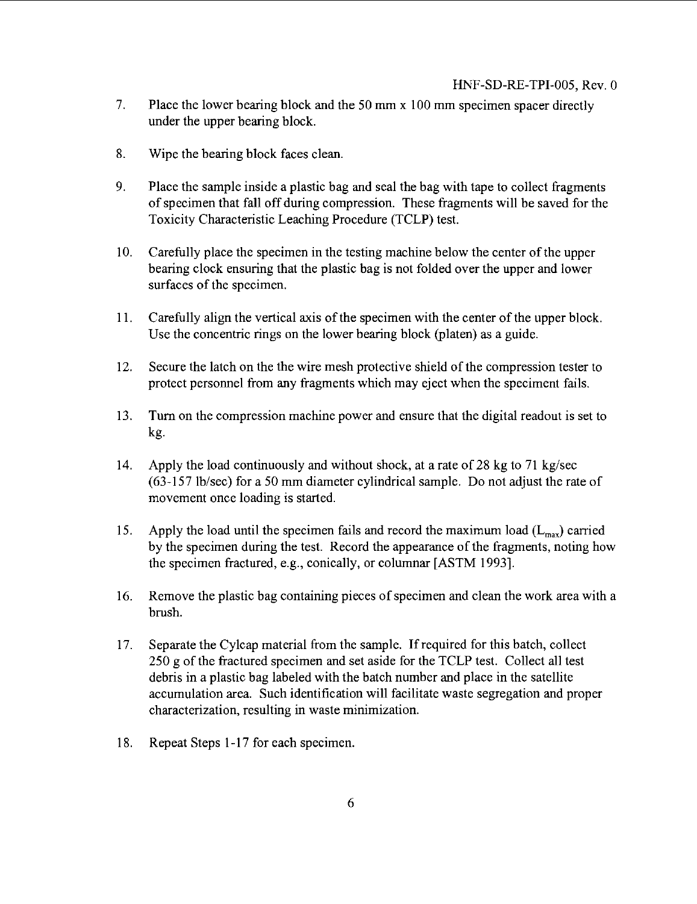- 7. Place the lower bearing block and the 50 mm x 100 mm specimen spacer directly under the upper bearing block.
- 8. Wipe the bearing block faces clean.
- 9. Place the sample inside a plastic bag and seal the bag with tape to collect fragments of specimen that fall off during compression. These fragments will be saved for the Toxicity Characteristic Leaching Procedure (TCLP) test.
- 10. Carefully place the specimen in the testing machine below the center of the upper bearing clock ensuring that the plastic bag is not folded over the upper and lower surfaces of the specimen.
- 11. Carefully align the vertical axis of the specimen with the center of the upper block. Use the concentric rings on the lower bearing block (platen) as a guide.
- 12. Secure the latch on the the wire mesh protective shield of the compression tester to protect personnel from any fragments which may eject when the speciment fails.
- 13. Turn on the compression machine power and ensure that the digital readout is set to kg.
- 14. Apply the load continuously and without shock, at a rate of 28 kg to 71 kg/sec (63-157 lb/sec) for a 50 mm diameter cylindrical sample. Do not adjust the rate of movement once loading is started.
- 15. Apply the load until the specimen fails and record the maximum load  $(L_{\text{max}})$  carried by the specimen during the test. Record the appearance of the fragments, noting how the specimen fractured, e.g., conically, or columnar [ASTM 1993].
- 16. Remove the plastic bag containing pieces of specimen and clean the work area with a brush.
- 17. Separate the Cylcap material from the sample. If required for this batch, collect 250 g of the fractured specimen and set aside for the TCLP test. Collect all test debris in a plastic bag labeled with the batch number and place in the satellite accumulation area. Such identification will facilitate waste segregation and proper characterization, resulting in waste minimization.
- 18. Repeat Steps 1-17 for each specimen.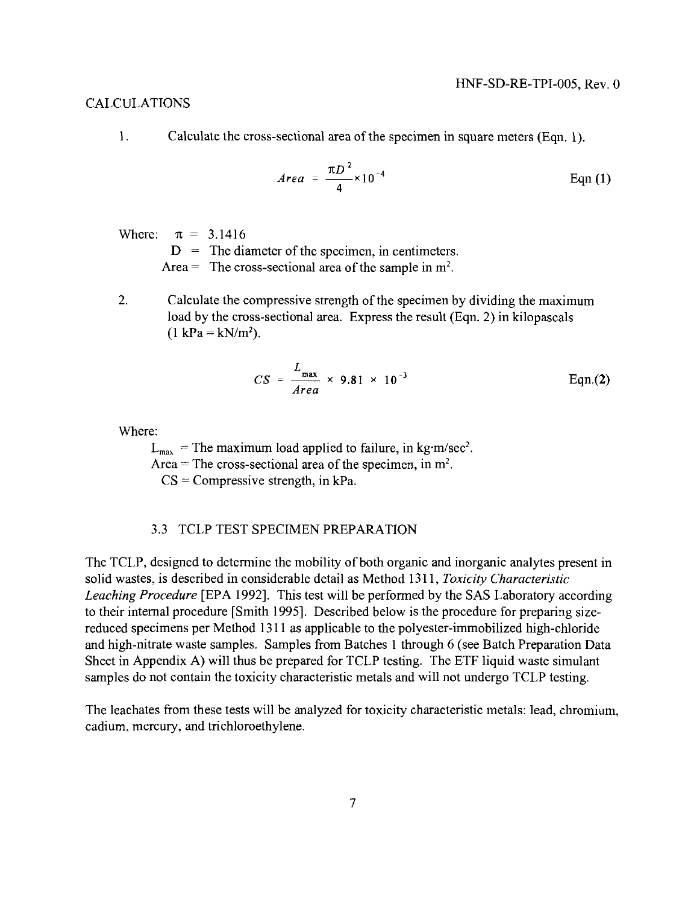#### CALCULATIONS

1. Calculate the cross-sectional area of the specimen in square meters (Eqn. 1).

$$
Area = \frac{\pi D^2}{4} \times 10^{-4}
$$
 Eqn (1)

Where:  $\pi = 3.1416$ 

 $D =$ The diameter of the specimen, in centimeters.

Area = The cross-sectional area of the sample in  $m<sup>2</sup>$ .

2. Calculate the compressive strength of the specimen by dividing the maximum load by the cross-sectional area. Express the result (Eqn. 2) in kilopascals  $(1 \text{ kPa} = \text{kN/m}^2).$ 

$$
CS = \frac{L_{\text{max}}}{Area} \times 9.81 \times 10^{-3}
$$
 Eqn.(2)

Where:

 $L_{\text{max}}$  = The maximum load applied to failure, in kg m/sec<sup>2</sup>.

Area  $=$  The cross-sectional area of the specimen, in  $m^2$ .

 $CS = Compressive strength$ , in kPa.

#### 3.3 TCLP TEST SPECIMEN PREPARATION

The TCLP, designed to determine the mobility of both organic and inorganic analytes present in solid wastes, is described in considerable detail as Method 1311, *Toxicity Characteristic Leaching Procedure* [EPA 1992]. This test will be performed by the SAS Laboratory according to their internal procedure [Smith 1995], Described below is the procedure for preparing sizereduced specimens per Method 1311 as applicable to the polyester-immobilized high-chloride and high-nitrate waste samples. Samples from Batches 1 through 6 (see Batch Preparation Data Sheet in Appendix A) will thus be prepared for TCLP testing. The ETF liquid waste simulant samples do not contain the toxicity characteristic metals and will not undergo TCLP testing.

The leachates from these tests will be analyzed for toxicity characteristic metals: lead, chromium, cadium, mercury, and trichloroethylene.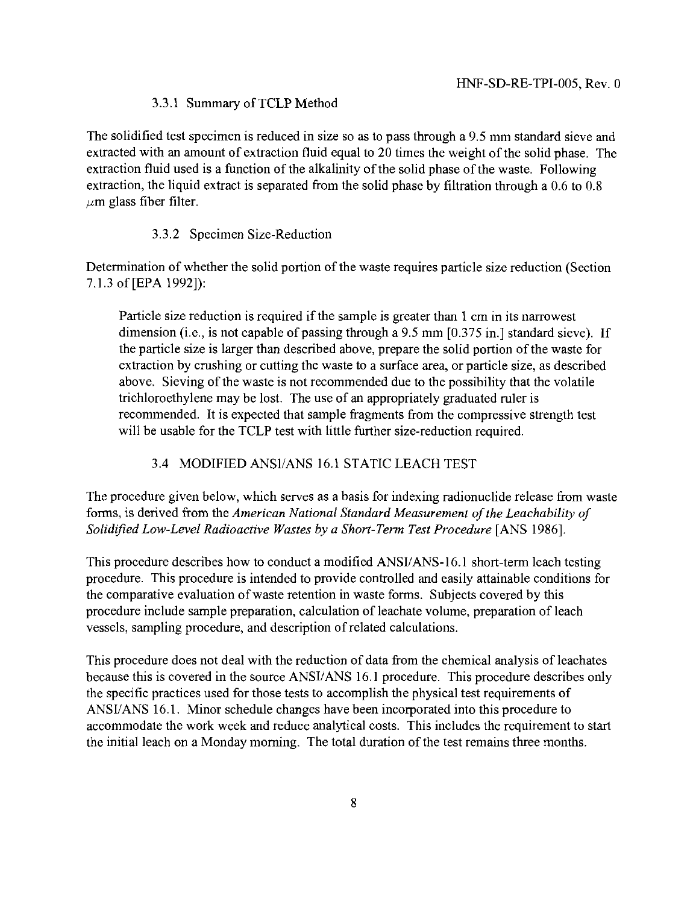#### 3.3.1 Summary of TCLP Method

The solidified test specimen is reduced in size so as to pass through a 9.5 mm standard sieve and extracted with an amount of extraction fluid equal to 20 times the weight of the solid phase. The extraction fluid used is a function of the alkalinity of the solid phase of the waste. Following extraction, the liquid extract is separated from the solid phase by filtration through a 0.6 to 0.8  $\mu$ m glass fiber filter.

#### 3.3.2 Specimen Size-Reduction

Determination of whether the solid portion of the waste requires particle size reduction (Section 7.1.3 of [EPA 1992]):

Particle size reduction is required if the sample is greater than 1 cm in its narrowest dimension (i.e., is not capable of passing through a 9.5 mm [0.375 in.] standard sieve). If the particle size is larger than described above, prepare the solid portion of the waste for extraction by crushing or cutting the waste to a surface area, or particle size, as described above. Sieving of the waste is not recommended due to the possibility that the volatile trichloroethylene may be lost. The use of an appropriately graduated ruler is recommended. It is expected that sample fragments from the compressive strength test will be usable for the TCLP test with little further size-reduction required.

#### 3.4 MODIFIED ANSI/ANS 16.1 STATIC LEACH TEST

The procedure given below, which serves as a basis for indexing radionuclide release from waste forms, is derived from the *American National Standard Measurement of the Leachability of Solidified Low-Level Radioactive Wastes by a Short-Term Test Procedure* [ANS 1986].

This procedure describes how to conduct a modified ANSI/ANS-16.1 short-term leach testing procedure. This procedure is intended to provide controlled and easily attainable conditions for the comparative evaluation of waste retention in waste forms. Subjects covered by this procedure include sample preparation, calculation of leachate volume, preparation of leach vessels, sampling procedure, and description of related calculations.

This procedure does not deal with the reduction of data from the chemical analysis of leachates because this is covered in the source ANSI/ANS 16.1 procedure. This procedure describes only the specific practices used for those tests to accomplish the physical test requirements of ANSI/ANS 16.1. Minor schedule changes have been incorporated into this procedure to accommodate the work week and reduce analytical costs. This includes the requirement to start the initial leach on a Monday morning. The total duration of the test remains three months.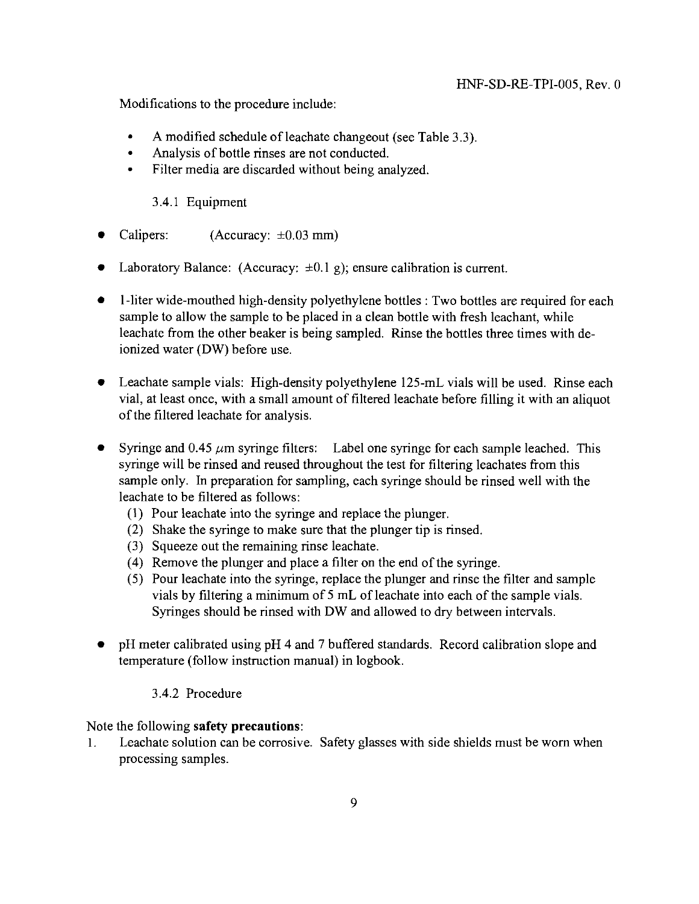Modifications to the procedure include:

- A modified schedule of leachate changeout (see Table 3.3).
- Analysis of bottle rinses are not conducted.
- Filter media are discarded without being analyzed.

3.4.1 Equipment

- Calipers: (Accuracy:  $\pm 0.03$  mm)
- Laboratory Balance: (Accuracy:  $\pm 0.1$  g); ensure calibration is current.
- 1-liter wide-mouthed high-density polyethylene bottles : Two bottles are required for each sample to allow the sample to be placed in a clean bottle with fresh leachant, while leachate from the other beaker is being sampled. Rinse the bottles three times with deionized water (DW) before use.
- Leachate sample vials: High-density polyethylene 125-mL vials will be used. Rinse each vial, at least once, with a small amount of filtered leachate before filling it with an aliquot of the filtered leachate for analysis.
- Syringe and  $0.45 \mu m$  syringe filters: Label one syringe for each sample leached. This syringe will be rinsed and reused throughout the test for filtering leachates from this sample only. In preparation for sampling, each syringe should be rinsed well with the leachate to be filtered as follows:
	- (1) Pour leachate into the syringe and replace the plunger.
	- (2) Shake the syringe to make sure that the plunger tip is rinsed.
	- (3) Squeeze out the remaining rinse leachate.
	- (4) Remove the plunger and place a filter on the end of the syringe.
	- (5) Pour leachate into the syringe, replace the plunger and rinse the filter and sample vials by filtering a minimum of 5 mL of leachate into each of the sample vials. Syringes should be rinsed with DW and allowed to dry between intervals.
- pH meter calibrated using pH 4 and 7 buffered standards. Record calibration slope and temperature (follow instruction manual) in logbook.

#### 3.4.2 Procedure

Note the following **safety precautions:**

1. Leachate solution can be corrosive. Safety glasses with side shields must be worn when processing samples.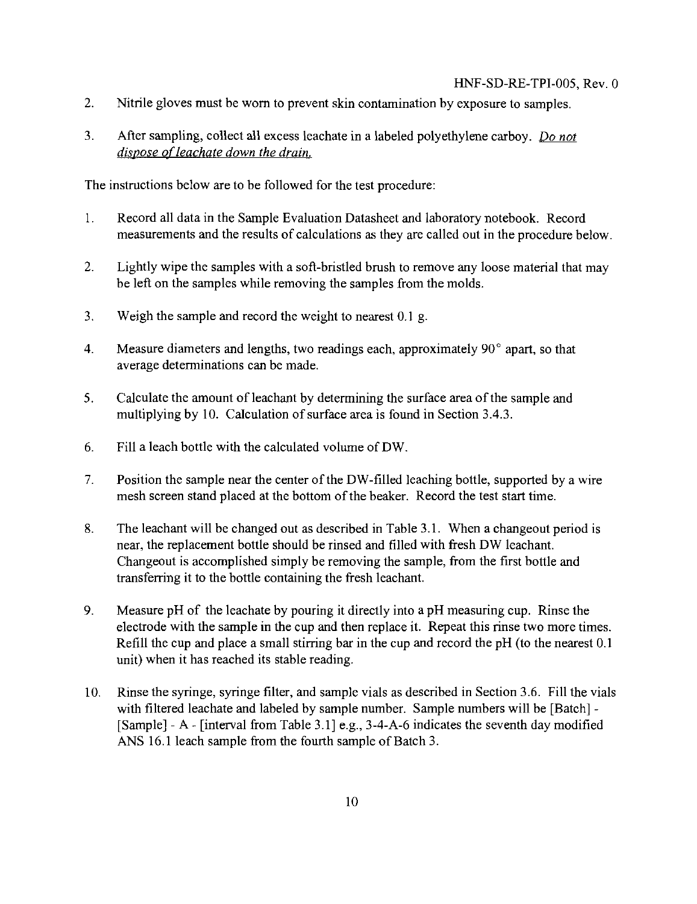- 2. Nitrile gloves must be worn to prevent skin contamination by exposure to samples.
- 3. After sampling, collect all excess leachate in a labeled polyethylene carboy. *Do not dispose ofleachate down the drain.*

The instructions below are to be followed for the test procedure:

- 1. Record all data in the Sample Evaluation Datasheet and laboratory notebook. Record measurements and the results of calculations as they are called out in the procedure below.
- 2. Lightly wipe the samples with a soft-bristled brush to remove any loose material that may be left on the samples while removing the samples from the molds.
- 3. Weigh the sample and record the weight to nearest 0.1 g.
- 4. Measure diameters and lengths, two readings each, approximately 90° apart, so that average determinations can be made.
- 5. Calculate the amount of leachant by determining the surface area of the sample and multiplying by 10. Calculation of surface area is found in Section 3.4.3.
- 6. Fill a leach bottle with the calculated volume of DW.
- 7. Position the sample near the center of the DW-filled leaching bottle, supported by a wire mesh screen stand placed at the bottom of the beaker. Record the test start time.
- 8. The leachant will be changed out as described in Table 3.1. When a changeout period is near, the replacement bottle should be rinsed and filled with fresh DW leachant. Changeout is accomplished simply be removing the sample, from the first bottle and transferring it to the bottle containing the fresh leachant.
- 9. Measure pH of the leachate by pouring it directly into a pH measuring cup. Rinse the electrode with the sample in the cup and then replace it. Repeat this rinse two more times. Refill the cup and place a small stirring bar in the cup and record the pH (to the nearest 0.1 unit) when it has reached its stable reading.
- 10. Rinse the syringe, syringe filter, and sample vials as described in Section 3.6. Fill the vials with filtered leachate and labeled by sample number. Sample numbers will be [Batch] -[Sample] - A - [interval from Table 3.1] e.g., 3-4-A-6 indicates the seventh day modified ANS 16.1 leach sample from the fourth sample of Batch 3.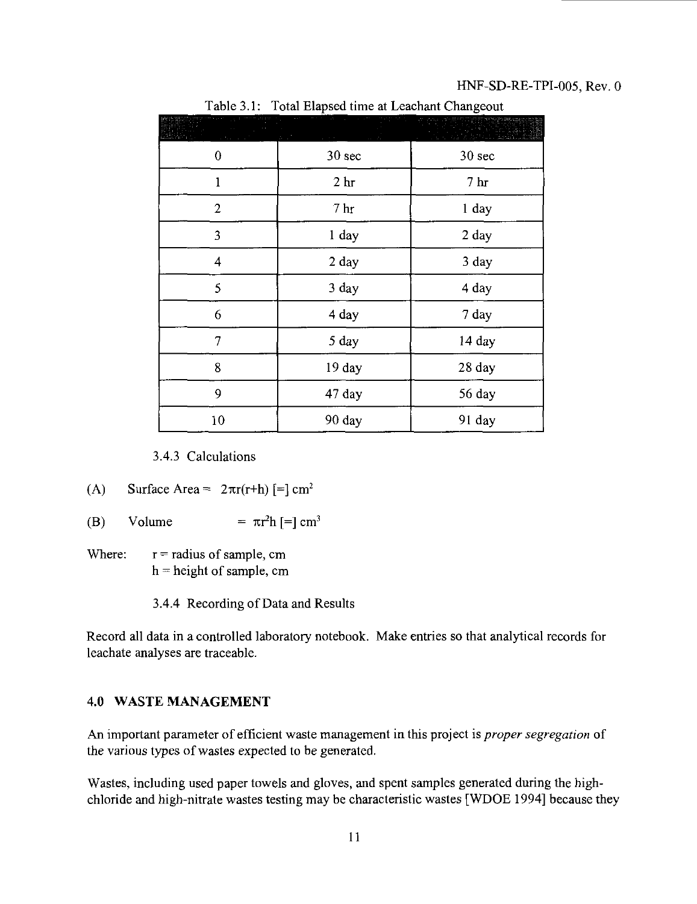#### HNF-SD-RE-TPI-005, Rev. 0

|                | $-0.002$ $-0.000$ | -------- ------ <u>-</u> ---- |
|----------------|-------------------|-------------------------------|
| 0              | 30 sec            | 30 sec                        |
| 1              | 2 <sub>hr</sub>   | 7 <sub>hr</sub>               |
| $\overline{2}$ | 7 <sub>hr</sub>   | 1 day                         |
| 3              | 1 day             | 2 day                         |
| 4              | 2 day             | 3 day                         |
| 5              | 3 day             | 4 day                         |
| 6              | 4 day             | 7 day                         |
| 7              | 5 day             | 14 day                        |
| 8              | 19 day            | 28 day                        |
| 9              | 47 day            | 56 day                        |
| 10             | 90 day            | 91 day                        |

Table 3.1: Total Elapsed time at Leachant Changeout

3.4.3 Calculations

(A) Surface Area = 
$$
2\pi r(r+h)
$$
 [= $cm^2$ 

- (B) Volume =  $\pi r^2 h$  [=] cm<sup>3</sup>
- Where:  $r =$  radius of sample, cm h = height of sample, cm

3.4.4 Recording of Data and Results

Record all data in a controlled laboratory notebook. Make entries so that analytical records for leachate analyses are traceable.

#### 4.0 WASTE MANAGEMENT

An important parameter of efficient waste management in this project is *proper segregation* of the various types of wastes expected to be generated.

Wastes, including used paper towels and gloves, and spent samples generated during the highchloride and high-nitrate wastes testing may be characteristic wastes [WDOE 1994] because they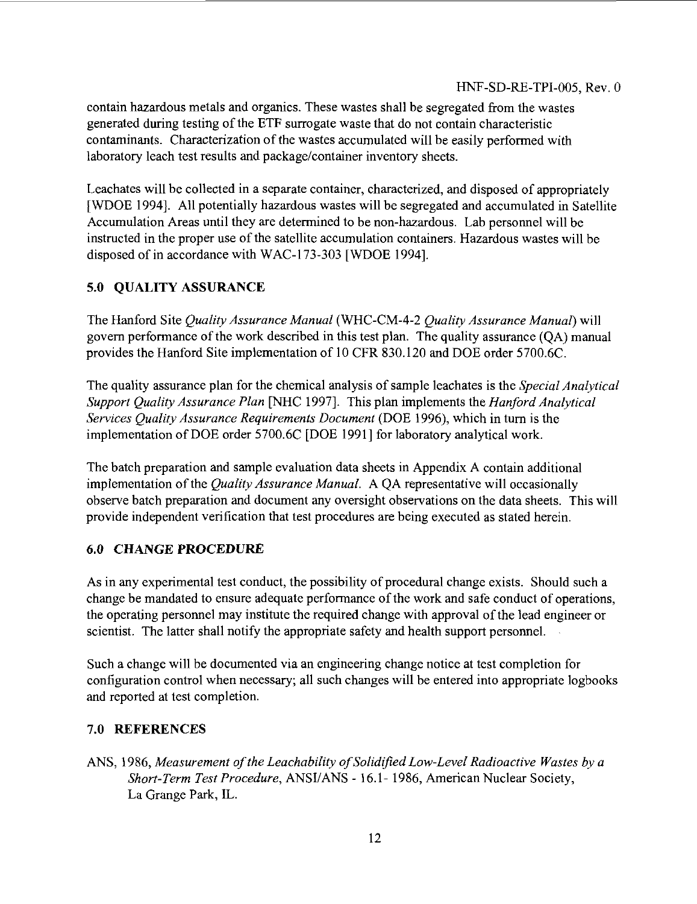contain hazardous metals and organics. These wastes shall be segregated from the wastes generated during testing of the ETF surrogate waste that do not contain characteristic contaminants. Characterization of the wastes accumulated will be easily performed with laboratory leach test results and package/container inventory sheets.

Leachates will be collected in a separate container, characterized, and disposed of appropriately [WDOE 1994]. All potentially hazardous wastes will be segregated and accumulated in Satellite Accumulation Areas until they are determined to be non-hazardous. Lab personnel will be instructed in the proper use of the satellite accumulation containers. Hazardous wastes will be disposed of in accordance with WAC-173-303 [WDOE 1994],

## **5.0 QUALITY ASSURANCE**

The Hanford Site *Quality Assurance Manual* (WHC-CM-4-2 *Quality Assurance Manual)* will govern performance of the work described in this test plan. The quality assurance (QA) manual provides the Hanford Site implementation of 10 CFR 830.120 and DOE order 5700.6C.

The quality assurance plan for the chemical analysis of sample leachates is the *Special Analytical Support Quality Assurance Plan* [NHC 1997]. This plan implements the *Hanford Analytical Services Quality Assurance Requirements Document* (DOE 1996), which in turn is the implementation of DOE order 5700.6C [DOE 1991] for laboratory analytical work.

The batch preparation and sample evaluation data sheets in Appendix A contain additional implementation of the *Quality Assurance Manual.* A QA representative will occasionally observe batch preparation and document any oversight observations on the data sheets. This will provide independent verification that test procedures are being executed as stated herein.

## **6.0 CHANGE PROCEDURE**

As in any experimental test conduct, the possibility of procedural change exists. Should such a change be mandated to ensure adequate performance of the work and safe conduct of operations, the operating personnel may institute the required change with approval of the lead engineer or scientist. The latter shall notify the appropriate safety and health support personnel.

Such a change will be documented via an engineering change notice at test completion for configuration control when necessary; all such changes will be entered into appropriate logbooks and reported at test completion.

## 7.0 **REFERENCES**

ANS, 1986, *Measurement of the Leachability of Solidified Low-Level Radioactive Wastes by a Short-Term Test Procedure,* ANSI/ANS - 16.1- 1986, American Nuclear Society, La Grange Park, IL.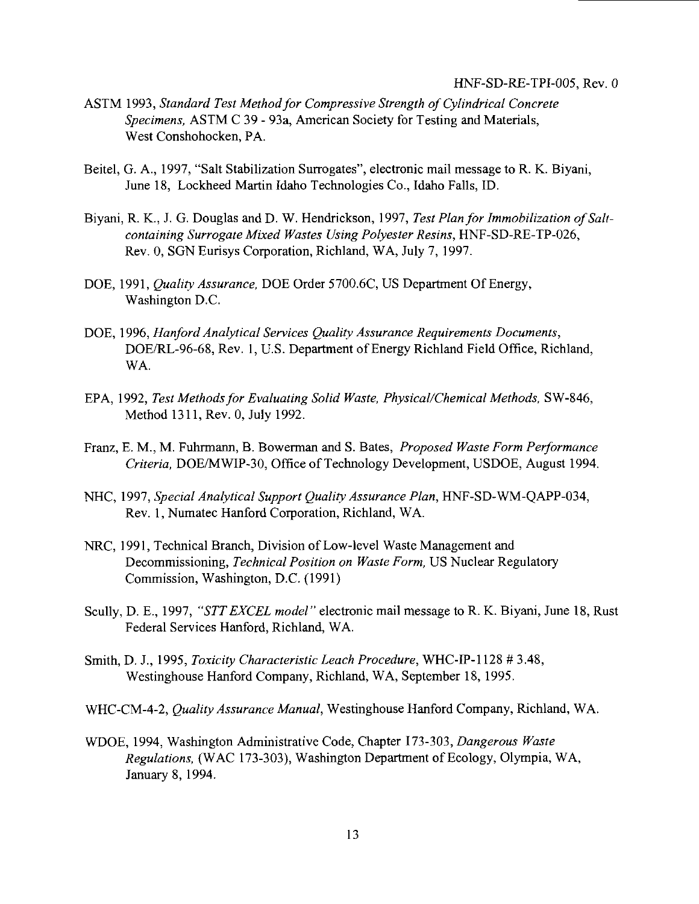- ASTM 1993, *Standard Test Method for Compressive Strength of Cylindrical Concrete Specimens,* ASTM C 39 - 93a, American Society for Testing and Materials, West Conshohocken, PA.
- Beitel, G. A., 1997, "Salt Stabilization Surrogates", electronic mail message to R. K. Biyani, June 18, Lockheed Martin Idaho Technologies Co., Idaho Falls, ID.
- Biyani, R. K., J. G. Douglas and D. W. Hendrickson, 1997, *Test Plan for Immobilization of Saltcontaining Surrogate Mixed Wastes Using Polyester Resins,* HNF-SD-RE-TP-026, Rev. 0, SGN Eurisys Corporation, Richland, WA, July 7, 1997.
- DOE, 1991, *Quality Assurance,* DOE Order 5700.6C, US Department Of Energy, Washington D.C.
- DOE, 1996, *Hanford Analytical Services Quality Assurance Requirements Documents,* DOE/RL-96-68, Rev. 1, U.S. Department of Energy Richland Field Office, Richland, WA.
- EPA, 1992, *Test Methods for Evaluating Solid Waste, Physical/Chemical Methods,* SW-846, Method 1311, Rev. 0, July 1992.
- Franz, E. M., M. Fuhrmann, B. Bowerman and S. Bates, *Proposed Waste Form Performance Criteria,* DOE/MWIP-30, Office of Technology Development, USDOE, August 1994.
- NHC, 1997, *Special Analytical Support Quality Assurance Plan,* HNF-SD-WM-QAPP-034, Rev. 1, Numatec Hanford Corporation, Richland, WA.
- NRC, 1991, Technical Branch, Division of Low-level Waste Management and Decommissioning, *Technical Position on Waste Form,* US Nuclear Regulatory Commission, Washington, D.C. (1991)
- Scully, D. E., 1997, *"STTEXCEL model"* electronic mail message to R. K. Biyani, June 18, Rust Federal Services Hanford, Richland, WA.
- Smith, D. J., 1995, *Toxicity Characteristic Leach Procedure,* WHC-IP-1128 # 3.48, Westinghouse Hanford Company, Richland, WA, September 18, 1995.
- WHC-CM-4-2, *Quality Assurance Manual,* Westinghouse Hanford Company, Richland, WA.
- WDOE, 1994, Washington Administrative Code, Chapter 173-303, *Dangerous Waste Regulations,* (WAC 173-303), Washington Department of Ecology, Olympia, WA, January 8, 1994.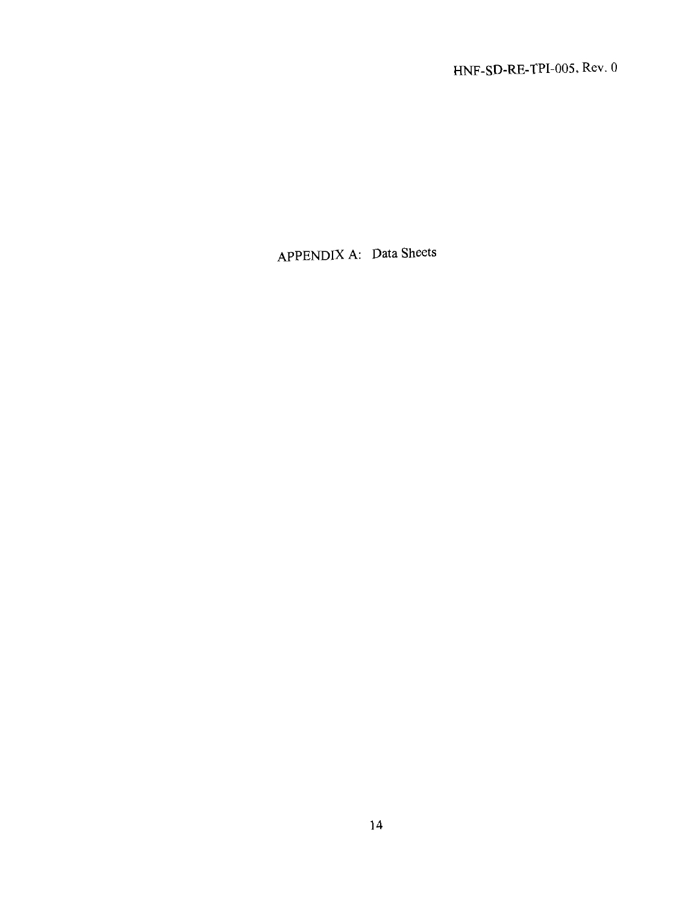HNF-SD-RE-TPI-005. Rev. 0

APPENDIX A: Data Sheets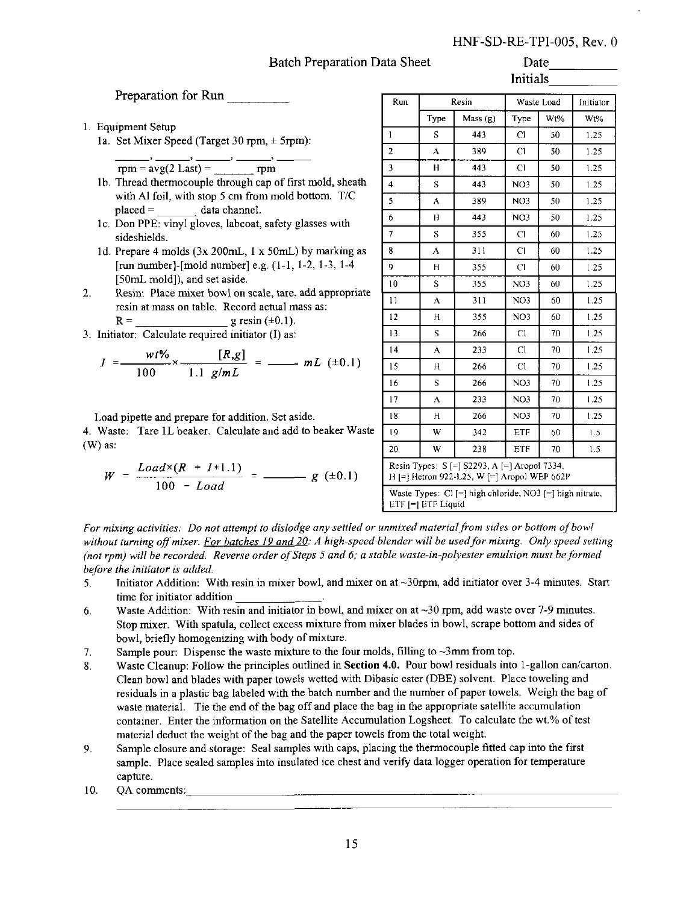#### HNF-SD-RE-TPI-005, Rev. 0 Date

#### Batch Preparation Data Sheet

#### Initials

Preparation for Run

1. Equipment Setup

la. Set Mixer Speed (Target 30 rpm, ± 5rpm):

$$
\overrightarrow{rpm} = \overrightarrow{avg(2 \text{ Last})} = \overrightarrow{rpm}
$$

- lb. Thread thermocouple through cap of first mold, sheath with Al foil, with stop 5 cm from mold bottom. T/C placed = data channel.
- lc. Don PPE: vinyl gloves, labcoat, safety glasses with sideshields.
- 1d. Prepare 4 molds (3x 200mL, 1 x 50mL) by marking as [run number]-[mold number] e.g. (1-1, 1-2, 1-3, 1-4 [50mL mold]), and set aside.
- $2.$ Resin: Place mixer bowl on scale, tare, add appropriate resin at mass on table. Record actual mass as:  $R =$  g resin (±0.1).
- 3. Initiator: Calculate required initiator (I) as:

$$
I = \frac{wt\%}{100} \times \frac{[R,g]}{1.1 \text{ g/mL}} = \frac{mL (±0.1)}{1.1 \text{ g/mL}}
$$

Load pipette and prepare for addition. Set aside.

4. Waste: Tare 1L beaker. Calculate and add to beaker Waste (W) as:

$$
W = \frac{Load \times (R + I * 1.1)}{100 - Load} = \underline{\hspace{1cm}} g \ (\pm 0.1)
$$

| muais                   |                                                                                              |                                                            |                 |            |           |  |  |  |
|-------------------------|----------------------------------------------------------------------------------------------|------------------------------------------------------------|-----------------|------------|-----------|--|--|--|
| Run                     |                                                                                              | Resin                                                      |                 | Waste Load | Initiator |  |  |  |
|                         | Type                                                                                         | Mass(g)                                                    | Type            | Wt%        | Wt%       |  |  |  |
| 1                       | S                                                                                            | 443                                                        | CI              | 50         | 1.25      |  |  |  |
| $\overline{a}$          | A                                                                                            | 389                                                        | C1              | 50         | 1.25      |  |  |  |
| 3                       | H                                                                                            | 443                                                        | C1              | 50         | 1.25      |  |  |  |
| $\overline{\mathbf{4}}$ | S                                                                                            | 443                                                        | NO <sub>3</sub> | 50         | 1.25      |  |  |  |
| \$                      | ٨                                                                                            | 389                                                        | NO3             | 50         | 1.25      |  |  |  |
| 6                       | H                                                                                            | 443                                                        | NO3             | 50         | 1.25      |  |  |  |
| $\overline{7}$          | S                                                                                            | 355                                                        | <b>CI</b>       | 60         | 1.25      |  |  |  |
| 8                       | A                                                                                            | 311                                                        | <b>CI</b>       | 60         | 1.25      |  |  |  |
| 9                       | H                                                                                            | 355                                                        | C1              | 60         | 1.25      |  |  |  |
| 10                      | Ś                                                                                            | 355                                                        | NO3             | 60         | 1.25      |  |  |  |
| $\bar{1}$               | A                                                                                            | 311                                                        | NO <sub>3</sub> | 60         | 1.25      |  |  |  |
| 12                      | н                                                                                            | 355                                                        | NO <sub>3</sub> | 60         | 1.25      |  |  |  |
| 13                      | S                                                                                            | 266                                                        | Cl              | 70         | 1.25      |  |  |  |
| 14                      | A                                                                                            | 233                                                        | Cl              | 70         | 1.25      |  |  |  |
| 15                      | н                                                                                            | 266                                                        | Cl              | 70         | 1.25      |  |  |  |
| 16                      | s                                                                                            | 266                                                        | NO3             | 70         | 1.25      |  |  |  |
| 17                      | A                                                                                            | 233                                                        | NO <sub>3</sub> | 70         | 1.25      |  |  |  |
| 18                      | н                                                                                            | 266                                                        | NO3             | 70         | 1.25      |  |  |  |
| 19                      | W                                                                                            | 342                                                        | <b>ETF</b>      | 60         | 1.5       |  |  |  |
| 20                      | W                                                                                            | 238                                                        | ETF             | 70         | 1.5       |  |  |  |
|                         | Resin Types: S [=] S2293, A [=] Aropol 7334,<br>H [=] Hetron 922-1.25, W [=] Aropol WEP 662P |                                                            |                 |            |           |  |  |  |
|                         | ETF [=] ETF Liquid                                                                           | Waste Types: $Cl$ [=] high chloride, NO3 [=] high nitrate, |                 |            |           |  |  |  |

*For mixing activities: Do not attempt to dislodge any settled or unmixed material from sides or bottom of bowl without turning off mixer. For batches 19 and 20: A high-speed blender will be used for mixing. Only speed setting (not rpm) will be recorded. Reverse order of Steps 5 and 6; a stable waste-in-polyester emulsion must be formed before the initiator is added.*

- 5. Initiator Addition: With resin in mixer bowl, and mixer on at ~30rpm, add initiator over 3-4 minutes. Start time for initiator addition .
- 6. Waste Addition: With resin and initiator in bowl, and mixer on at  $\sim$  30 rpm, add waste over 7-9 minutes. Stop mixer. With spatula, collect excess mixture from mixer blades in bowl, scrape bottom and sides of bowl, briefly homogenizing with body of mixture.
- 7. Sample pour: Dispense the waste mixture to the four molds, filling to ~3mm from top.
- 8. Waste Cleanup: Follow the principles outlined in **Section 4.0.** Pour bowl residuals into 1-gallon can/carton. Clean bowl and blades with paper towels wetted with Dibasic ester (DBE) solvent. Place toweling and residuals in a plastic bag labeled with the batch number and the number of paper towels. Weigh the bag of waste material. Tie the end of the bag off and place the bag in the appropriate satellite accumulation container. Enter the information on the Satellite Accumulation Logsheet. To calculate the wt.% of test material deduct the weight of the bag and the paper towels from the total weight.
- 9. Sample closure and storage: Seal samples with caps, placing the thermocouple fitted cap into the first sample. Place sealed samples into insulated ice chest and verify data logger operation for temperature capture.
- 10. QA comments:\_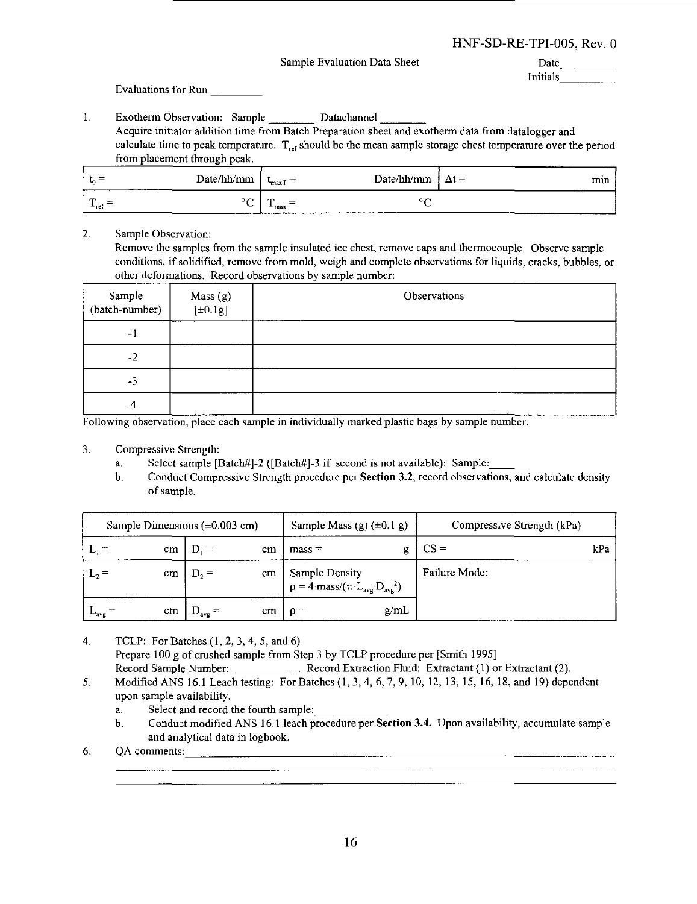Sample Evaluation Data Sheet

Date \_ Initials

Evaluations for Run

 $\mathbf{1}$ Exotherm Observation: Sample Datachannel Acquire initiator addition time from Batch Preparation sheet and exotherm data from datalogger and calculate time to peak temperature.  $T_{ref}$  should be the mean sample storage chest temperature over the period from placement through peak.

| <b>COL</b>                               | Date/hh/mm                    | $\overline{\phantom{a}}$<br>max1 | Date/hh/mm | $\Delta t =$<br>-- | - 3<br>min |
|------------------------------------------|-------------------------------|----------------------------------|------------|--------------------|------------|
| ൳<br>$\overline{\phantom{a}}$<br>$-$ ref | ◡<br><b>Contract Contract</b> | -<br>$-$ max                     |            |                    |            |

2. Sample Observation:

Remove the samples from the sample insulated ice chest, remove caps and thermocouple. Observe sample conditions, if solidified, remove from mold, weigh and complete observations for liquids, cracks, bubbles, or other deformations. Record observations by sample number:

| Sample<br>(batch-number) | Mass (g)<br>$[\pm 0.1g]$ | Observations |  |
|--------------------------|--------------------------|--------------|--|
| $-1$                     |                          |              |  |
| $-2$                     |                          |              |  |
| $-3$                     |                          |              |  |
| $-4$                     |                          |              |  |

Following observation, place each sample in individually marked plastic bags by sample number.

- 3. Compressive Strength:
	- a. Select sample [Batch#]-2 ([Batch#]-3 if second is not available): Sample:
	- b. Conduct Compressive Strength procedure per **Section 3.2,** record observations, and calculate density of sample.

| Sample Dimensions $(\pm 0.003 \text{ cm})$ |    |                  |    | Sample Mass (g) $(\pm 0.1 \text{ g})$                                                         | Compressive Strength (kPa) |  |  |  |
|--------------------------------------------|----|------------------|----|-----------------------------------------------------------------------------------------------|----------------------------|--|--|--|
|                                            | cm | $=$              | cm | $mass =$                                                                                      | $CS =$<br>kPa              |  |  |  |
|                                            | cm | $D_2 =$          | cm | Sample Density<br>$\rho = 4$ ·mass/( $\pi$ ·L <sub>avg</sub> ·D <sub>avg</sub> <sup>2</sup> ) | Failure Mode:              |  |  |  |
| $-avg$                                     | cm | $U_{\text{avg}}$ | cm | g/mL<br>$n =$                                                                                 |                            |  |  |  |

- $4.$ TCLP: For Batches (1,2, 3,4, 5, and 6) Prepare 100 g of crushed sample from Step 3 by TCLP procedure per [Smith 1995] Record Sample Number: . Record Extraction Fluid: Extractant (1) or Extractant (2).
- Modified ANS 16.1 Leach testing: For Batches (1, 3, 4, 6, 7, 9, 10, 12, 13, 15, 16, 18, and 19) dependent 5. upon sample availability.
	- a. Select and record the fourth sample:
	- b. Conduct modified ANS 16.1 leach procedure per **Section** 3.4. Upon availability, accumulate sample and analytical data in logbook.
- 6. OA comments:  $\qquad \qquad \qquad$